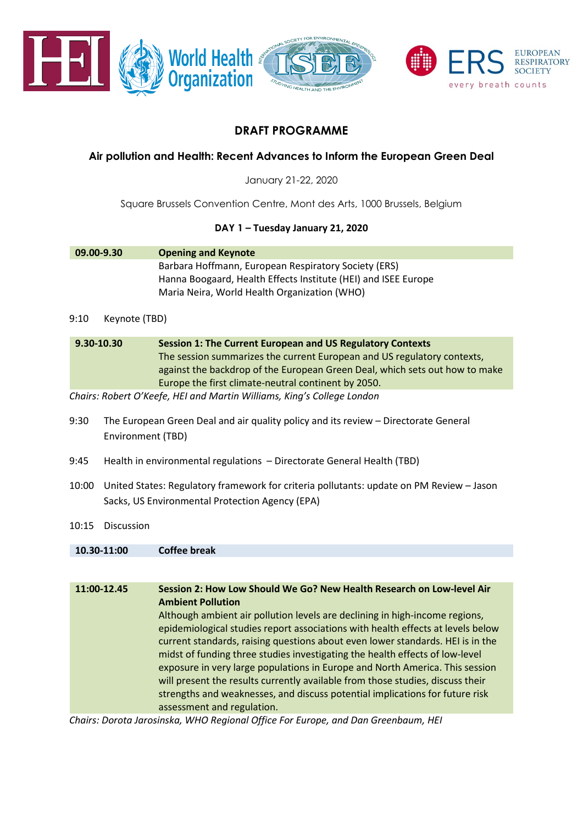

# **DRAFT PROGRAMME**

# **Air pollution and Health: Recent Advances to Inform the European Green Deal**

January 21-22, 2020

Square Brussels Convention Centre, Mont des Arts, 1000 Brussels, Belgium

# **DAY 1 – Tuesday January 21, 2020**

| 09.00-9.30 | <b>Opening and Keynote</b>                                     |
|------------|----------------------------------------------------------------|
|            | Barbara Hoffmann, European Respiratory Society (ERS)           |
|            | Hanna Boogaard, Health Effects Institute (HEI) and ISEE Europe |
|            | Maria Neira, World Health Organization (WHO)                   |

### 9:10 Keynote (TBD)

| $9.30 - 10.30$ | <b>Session 1: The Current European and US Regulatory Contexts</b>           |
|----------------|-----------------------------------------------------------------------------|
|                | The session summarizes the current European and US regulatory contexts,     |
|                | against the backdrop of the European Green Deal, which sets out how to make |
|                | Europe the first climate-neutral continent by 2050.                         |

*Chairs: Robert O'Keefe, HEI and Martin Williams, King's College London* 

- 9:30 The European Green Deal and air quality policy and its review Directorate General Environment (TBD)
- 9:45 Health in environmental regulations Directorate General Health (TBD)
- 10:00 United States: Regulatory framework for criteria pollutants: update on PM Review Jason Sacks, US Environmental Protection Agency (EPA)
- 10:15 Discussion

| 11:00-12.45 | Session 2: How Low Should We Go? New Health Research on Low-level Air           |
|-------------|---------------------------------------------------------------------------------|
|             | <b>Ambient Pollution</b>                                                        |
|             | Although ambient air pollution levels are declining in high-income regions,     |
|             | epidemiological studies report associations with health effects at levels below |
|             | current standards, raising questions about even lower standards. HEI is in the  |
|             | midst of funding three studies investigating the health effects of low-level    |
|             | exposure in very large populations in Europe and North America. This session    |
|             | will present the results currently available from those studies, discuss their  |
|             | strengths and weaknesses, and discuss potential implications for future risk    |
|             | assessment and regulation.                                                      |

*Chairs: Dorota Jarosinska, WHO Regional Office For Europe, and Dan Greenbaum, HEI*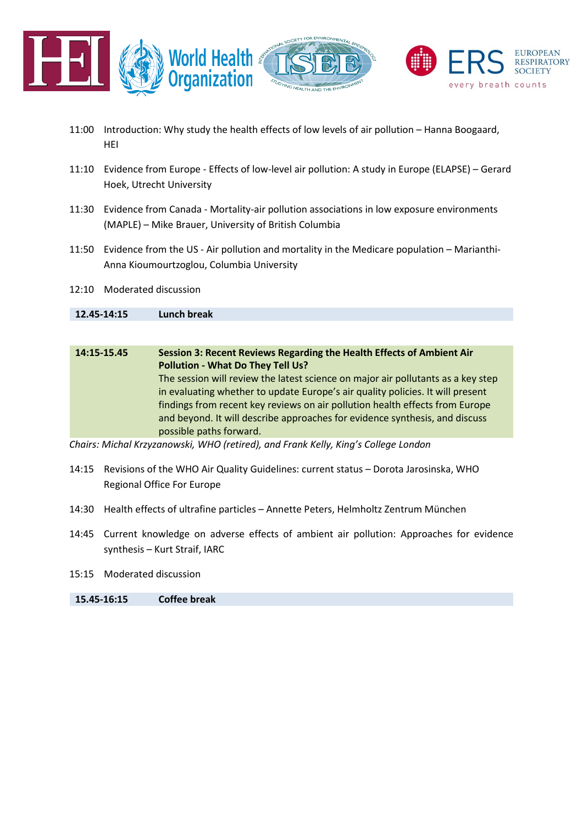

- 11:00 Introduction: Why study the health effects of low levels of air pollution Hanna Boogaard, HEI
- 11:10 Evidence from Europe Effects of low-level air pollution: A study in Europe (ELAPSE) Gerard Hoek, Utrecht University
- 11:30 Evidence from Canada Mortality-air pollution associations in low exposure environments (MAPLE) – Mike Brauer, University of British Columbia
- 11:50 Evidence from the US Air pollution and mortality in the Medicare population Marianthi-Anna Kioumourtzoglou, Columbia University
- 12:10 Moderated discussion

# **12.45-14:15 Lunch break**

| 14:15-15.45 | Session 3: Recent Reviews Regarding the Health Effects of Ambient Air            |
|-------------|----------------------------------------------------------------------------------|
|             | Pollution - What Do They Tell Us?                                                |
|             | The session will review the latest science on major air pollutants as a key step |
|             | in evaluating whether to update Europe's air quality policies. It will present   |
|             | findings from recent key reviews on air pollution health effects from Europe     |
|             | and beyond. It will describe approaches for evidence synthesis, and discuss      |
|             | possible paths forward.                                                          |

*Chairs: Michal Krzyzanowski, WHO (retired), and Frank Kelly, King's College London* 

- 14:15 Revisions of the WHO Air Quality Guidelines: current status Dorota Jarosinska, WHO Regional Office For Europe
- 14:30 Health effects of ultrafine particles Annette Peters, Helmholtz Zentrum München
- 14:45 Current knowledge on adverse effects of ambient air pollution: Approaches for evidence synthesis – Kurt Straif, IARC
- 15:15 Moderated discussion

### **15.45-16:15 Coffee break**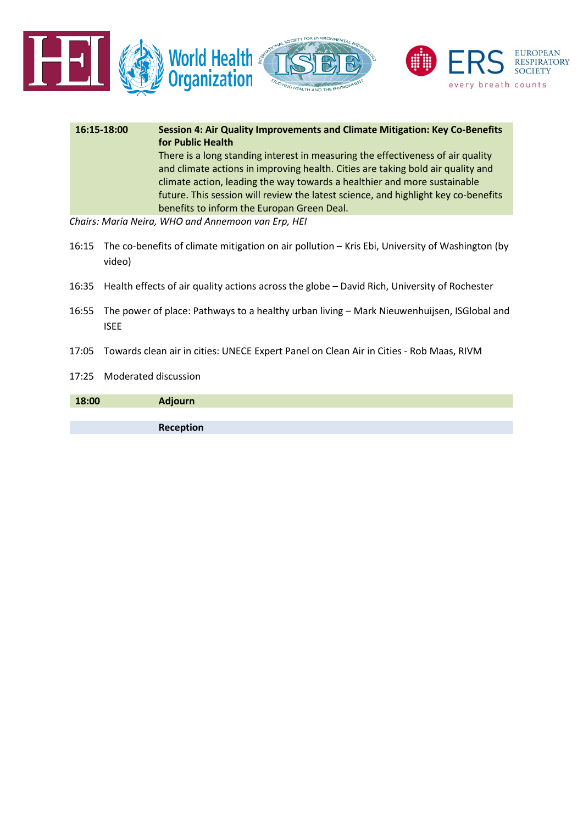

| 16:15-18:00 | Session 4: Air Quality Improvements and Climate Mitigation: Key Co-Benefits<br>for Public Health                                                                                                                                                                                                                                                                                   |
|-------------|------------------------------------------------------------------------------------------------------------------------------------------------------------------------------------------------------------------------------------------------------------------------------------------------------------------------------------------------------------------------------------|
|             | There is a long standing interest in measuring the effectiveness of air quality<br>and climate actions in improving health. Cities are taking bold air quality and<br>climate action, leading the way towards a healthier and more sustainable<br>future. This session will review the latest science, and highlight key co-benefits<br>benefits to inform the Europan Green Deal. |
|             | Chairs: Maria Neira, WHO and Annemoon van Erp, HEI                                                                                                                                                                                                                                                                                                                                 |

- 16:15 The co-benefits of climate mitigation on air pollution Kris Ebi, University of Washington (by video)
- 16:35 Health effects of air quality actions across the globe David Rich, University of Rochester
- 16:55 The power of place: Pathways to a healthy urban living Mark Nieuwenhuijsen, ISGlobal and ISEE
- 17:05 Towards clean air in cities: UNECE Expert Panel on Clean Air in Cities Rob Maas, RIVM
- 17:25 Moderated discussion

| 18:00 | <b>Adjourn</b> |
|-------|----------------|
|       |                |
|       | Reception      |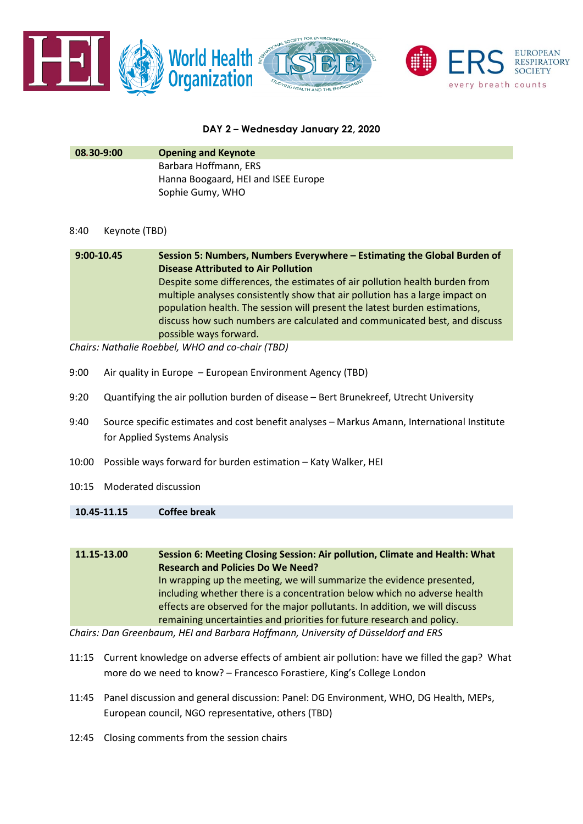

### **DAY 2 – Wednesday January 22, 2020**

| 08.30-9:00 | <b>Opening and Keynote</b>          |
|------------|-------------------------------------|
|            | Barbara Hoffmann, ERS               |
|            | Hanna Boogaard, HEI and ISEE Europe |
|            | Sophie Gumy, WHO                    |

### 8:40 Keynote (TBD)

| 9:00-10.45 | Session 5: Numbers, Numbers Everywhere - Estimating the Global Burden of     |
|------------|------------------------------------------------------------------------------|
|            | <b>Disease Attributed to Air Pollution</b>                                   |
|            | Despite some differences, the estimates of air pollution health burden from  |
|            | multiple analyses consistently show that air pollution has a large impact on |
|            | population health. The session will present the latest burden estimations,   |
|            | discuss how such numbers are calculated and communicated best, and discuss   |
|            | possible ways forward.                                                       |

*Chairs: Nathalie Roebbel, WHO and co-chair (TBD)*

- 9:00 Air quality in Europe European Environment Agency (TBD)
- 9:20 Quantifying the air pollution burden of disease Bert Brunekreef, Utrecht University
- 9:40 Source specific estimates and cost benefit analyses Markus Amann, International Institute for Applied Systems Analysis
- 10:00 Possible ways forward for burden estimation Katy Walker, HEI
- 10:15 Moderated discussion

**10.45-11.15 Coffee break**

| 11.15-13.00 | Session 6: Meeting Closing Session: Air pollution, Climate and Health: What |
|-------------|-----------------------------------------------------------------------------|
|             | <b>Research and Policies Do We Need?</b>                                    |
|             | In wrapping up the meeting, we will summarize the evidence presented,       |
|             | including whether there is a concentration below which no adverse health    |
|             | effects are observed for the major pollutants. In addition, we will discuss |
|             | remaining uncertainties and priorities for future research and policy.      |
| - -         |                                                                             |

*Chairs: Dan Greenbaum, HEI and Barbara Hoffmann, University of Düsseldorf and ERS*

- 11:15 Current knowledge on adverse effects of ambient air pollution: have we filled the gap? What more do we need to know? – Francesco Forastiere, King's College London
- 11:45 Panel discussion and general discussion: Panel: DG Environment, WHO, DG Health, MEPs, European council, NGO representative, others (TBD)
- 12:45 Closing comments from the session chairs